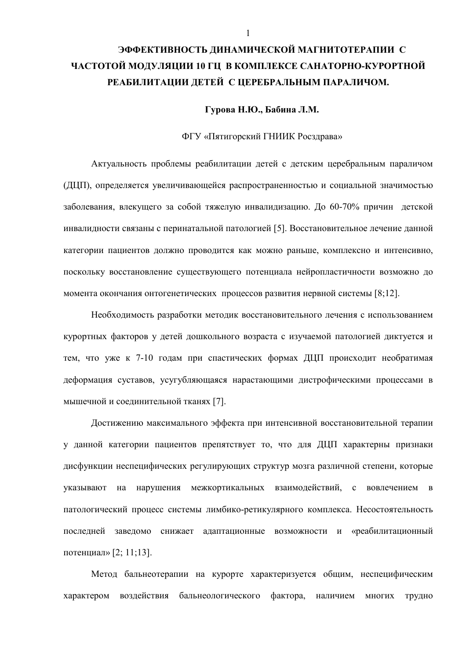# ЭФФЕКТИВНОСТЬ ЛИНАМИЧЕСКОЙ МАГНИТОТЕРАПИИ С ЧАСТОТОЙ МОДУЛЯЦИИ 10 ГЦ В КОМПЛЕКСЕ САНАТОРНО-КУРОРТНОЙ РЕАБИЛИТАЦИИ ДЕТЕЙ С ЦЕРЕБРАЛЬНЫМ ПАРАЛИЧОМ.

# Гурова Н.Ю., Бабина Л.М.

## ФГУ «Пятигорский ГНИИК Росздрава»

Актуальность проблемы реабилитации детей с детским церебральным параличом (ДЦП), определяется увеличивающейся распространенностью и социальной значимостью заболевания, влекущего за собой тяжелую инвалидизацию. До 60-70% причин детской инвалилности связаны с перинатальной патологией [5]. Восстановительное лечение ланной категории пациентов должно проводится как можно раньше, комплексно и интенсивно, поскольку восстановление существующего потенциала нейропластичности возможно до момента окончания онтогенетических процессов развития нервной системы [8;12].

Необходимость разработки методик восстановительного лечения с использованием курортных факторов у детей дошкольного возраста с изучаемой патологией диктуется и тем, что уже к 7-10 годам при спастических формах ЛШП происходит необратимая деформация суставов, усугубляющаяся нарастающими дистрофическими процессами в мышечной и соединительной тканях [7].

Достижению максимального эффекта при интенсивной восстановительной терапии у данной категории пациентов препятствует то, что для ДЦП характерны признаки дисфункции неспецифических регулирующих структур мозга различной степени, которые указывают на нарушения межкортикальных взаимодействий, с вовлечением в патологический процесс системы лимбико-ретикулярного комплекса. Несостоятельность последней заведомо снижает адаптационные возможности и «реабилитационный потенциал» [2; 11;13].

Метод бальнеотерапии на курорте характеризуется общим, неспецифическим характером воздействия бальнеологического фактора, наличием многих трудно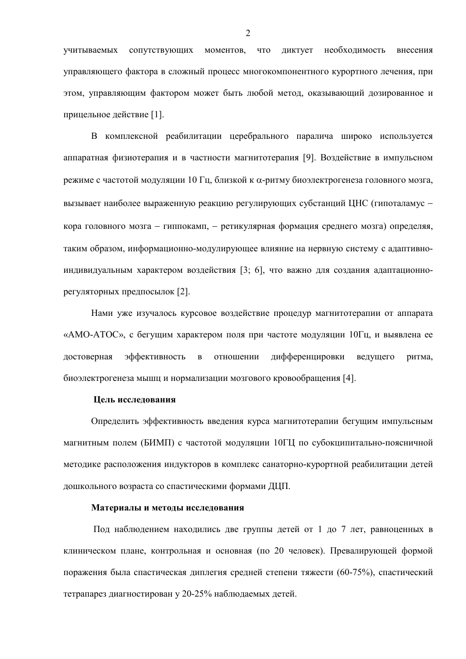учитываемых сопутствующих моментов, что диктует необходимость внесения управляющего фактора в сложный процесс многокомпонентного курортного лечения, при этом, управляющим фактором может быть любой метод, оказывающий дозированное и прицельное действие [1].

В комплексной реабилитации церебрального паралича широко используется аппаратная физиотерапия и в частности магнитотерапия [9]. Воздействие в импульсном режиме с частотой модуляции 10 Гц, близкой к  $\alpha$ -ритму биоэлектрогенеза головного мозга, вызывает наиболее выраженную реакцию регулирующих субстанций ЦНС (гипоталамус кора головного мозга - гиппокамп, - ретикулярная формация среднего мозга) определяя, таким образом, информационно-молулирующее влияние на нервную систему с алаптивноиндивидуальным характером воздействия [3; 6], что важно для создания адаптационнорегуляторных предпосылок [2].

Нами уже изучалось курсовое воздействие процедур магнитотерапии от аппарата «АМО-АТОС», с бегущим характером поля при частоте модуляции 10Гц, и выявлена ее лостоверная эффективность в отношении лифференцировки велушего ритма. биоэлектрогенеза мышц и нормализации мозгового кровообращения [4].

## Пель исследования

Определить эффективность введения курса магнитотерапии бегущим импульсным магнитным полем (БИМП) с частотой модуляции 10ГЦ по субокципитально-поясничной методике расположения индукторов в комплекс санаторно-курортной реабилитации детей дошкольного возраста со спастическими формами ДЦП.

## Материалы и методы исследования

Под наблюдением находились две группы детей от 1 до 7 лет, равноценных в клиническом плане, контрольная и основная (по 20 человек). Превалирующей формой поражения была спастическая диплегия средней степени тяжести (60-75%), спастический тетрапарез диагностирован у 20-25% наблюдаемых детей.

2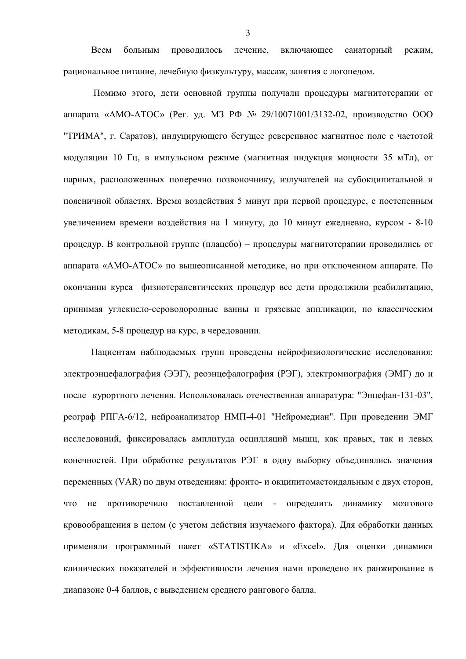Всем больным проводилось лечение. включающее санаторный режим. рациональное питание, лечебную физкультуру, массаж, занятия с логопедом.

Помимо этого, дети основной группы получали процедуры магнитотерапии от аппарата «АМО-АТОС» (Рег. уд. МЗ РФ № 29/10071001/3132-02, производство ООО "ТРИМА", г. Саратов), индуцирующего бегущее реверсивное магнитное поле с частотой модуляции 10 Гц, в импульсном режиме (магнитная индукция мощности 35 мТл), от парных, расположенных поперечно позвоночнику, излучателей на субокципитальной и поясничной областях. Время воздействия 5 минут при первой процедуре, с постепенным увеличением времени воздействия на 1 минуту, до 10 минут ежедневно, курсом - 8-10 процедур. В контрольной группе (плацебо) - процедуры магнитотерапии проводились от аппарата «АМО-АТОС» по вышеописанной методике, но при отключенном аппарате. По окончании курса физиотерапевтических процедур все дети продолжили реабилитацию, принимая углекисло-сероводородные ванны и грязевые аппликации, по классическим методикам, 5-8 процедур на курс, в чередовании.

Пациентам наблюдаемых групп проведены нейрофизиологические исследования: электроэнцефалография (ЭЭГ), реоэнцефалография (РЭГ), электромиография (ЭМГ) до и после курортного лечения. Использовалась отечественная аппаратура: "Энцефан-131-03", реограф РПГА-6/12, нейроанализатор НМП-4-01 "Нейромедиан". При проведении ЭМГ исследований, фиксировалась амплитуда осцилляций мышц, как правых, так и левых конечностей. При обработке результатов РЭГ в одну выборку объединялись значения переменных (VAR) по двум отведениям: фронто- и окципитомастоидальным с двух сторон, что не противоречило поставленной цели - определить динамику мозгового кровообращения в целом (с учетом действия изучаемого фактора). Для обработки данных применяли программный пакет «STATISTIKA» и «Excel». Для оценки динамики клинических показателей и эффективности лечения нами проведено их ранжирование в диапазоне 0-4 баллов, с выведением среднего рангового балла.

 $\overline{3}$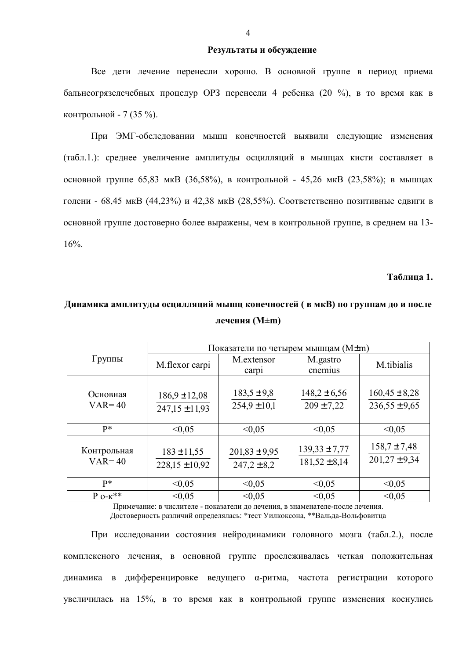### **Результаты и обсуждение**

Все дети лечение перенесли хорошо. В основной группе в период приема бальнеогрязелечебных процедур ОРЗ перенесли 4 ребенка (20 %), в то время как в контрольной - 7 (35 %).

При ЭМГ-обследовании мышц конечностей выявили следующие изменения (табл.1.): среднее увеличение амплитуды осцилляций в мышцах кисти составляет в основной группе 65,83 мкВ (36,58%), в контрольной - 45,26 мкВ (23,58%); в мышцах голени - 68,45 мкВ (44,23%) и 42,38 мкВ (28,55%). Соответственно позитивные сдвиги в основной группе достоверно более выражены, чем в контрольной группе, в среднем на 13-16%.

## **Таблина 1.**

|                           | Показатели по четырем мышцам $(M \pm m)$ |                                      |                                        |                                        |  |  |
|---------------------------|------------------------------------------|--------------------------------------|----------------------------------------|----------------------------------------|--|--|
| Группы                    | M.flexor carpi                           | M.extensor<br>carpi                  | M.gastro<br>cnemius                    | M.tibialis                             |  |  |
| Основная<br>$VAR = 40$    | $186.9 \pm 12.08$<br>$247,15 \pm 11,93$  | $183,5 \pm 9,8$<br>$254.9 \pm 10.1$  | $148,2 \pm 6,56$<br>$209 \pm 7,22$     | $160,45 \pm 8,28$<br>$236,55 \pm 9,65$ |  |  |
| $p*$                      | < 0.05                                   | < 0.05                               | < 0.05                                 | < 0.05                                 |  |  |
| Контрольная<br>$VAR = 40$ | $183 \pm 11,55$<br>$228,15 \pm 10,92$    | $201,83 \pm 9,95$<br>$247,2 \pm 8,2$ | $139,33 \pm 7,77$<br>$181,52 \pm 8,14$ | $158.7 \pm 7.48$<br>$201,27 \pm 9,34$  |  |  |
| $P*$                      | < 0.05                                   | < 0.05                               | < 0.05                                 | < 0.05                                 |  |  |
| $P_{O-K}$ **              | < 0.05                                   | < 0.05                               | < 0.05                                 | < 0.05                                 |  |  |

# $\overline{A}$ инамика амплитуды осцилляций мышц конечностей (в мкВ) по группам до и после **лечения** (M±m)

Примечание: в числителе - показатели до лечения, в знаменателе-после лечения. Достоверность различий определялась: \*тест Уилкоксона, \*\*Вальда-Вольфовитца

При исследовании состояния нейродинамики головного мозга (табл.2.), после комплексного лечения, в основной группе прослеживалась четкая положительная динамика в дифференцировке ведущего α-ритма, частота регистрации которого увеличилась на 15%, в то время как в контрольной группе изменения коснулись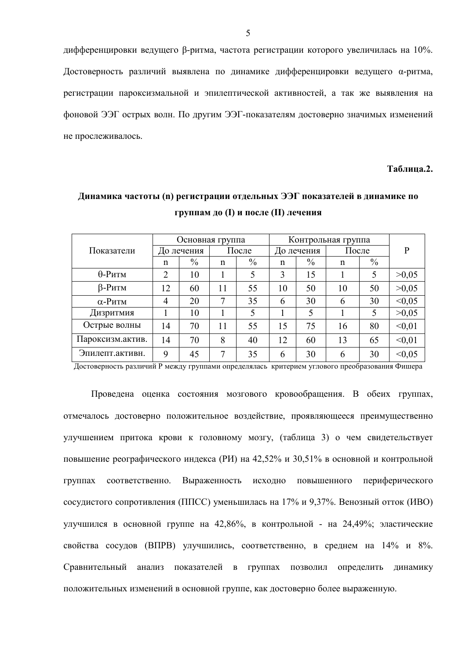дифференцировки ведущего β-ритма, частота регистрации которого увеличилась на 10%. Достоверность различий выявлена по динамике дифференцировки ведущего а-ритма, регистрации пароксизмальной и эпилептической активностей, а так же выявления на фоновой ЭЭГ острых волн. По другим ЭЭГ-показателям достоверно значимых изменений не прослеживалось.

Таблина.2.

### Основная группа Контрольная группа После До лечения До лечения После  $\mathbf{P}$ Показатели  $\frac{0}{0}$  $\frac{0}{0}$  $\frac{0}{0}$  $\frac{0}{0}$  $\mathbf n$  $\mathbf n$  $\mathbf n$  $\mathbf n$ 0-Ритм  $\overline{2}$ 10  $\mathbf{1}$  $\overline{5}$  $\overline{\mathbf{3}}$ 15  $\mathbf{1}$  $>0.05$  $5\overline{)}$  $\beta$ -Ритм 12 11 55 50 10 50  $>0.05$ 60 10  $< 0.05$  $\alpha$ -Ритм  $\overline{4}$ 20  $7\phantom{.0}$ 35 6 30 6 30 Дизритмия  $\mathbf{1}$ 10  $>0.05$  $\mathbf{1}$  $\mathfrak{S}$  $\mathbf{1}$ 5  $\mathbf{1}$  $\mathfrak{S}$ Острые волны 14 70 11 55 15 75 16 80  $< 0.01$ Пароксизм.актив. 14 70 8  $< 0.01$ 40 12 60 13 65 Эпилепт.активн. 9 45  $\overline{7}$ 35 6 30 6 30  $< 0.05$

# Линамика частоты (n) регистрации отдельных ЭЭГ показателей в динамике по группам до (I) и после (II) лечения

Достоверность различий Р между группами определялась критерием углового преобразования Фишера

Проведена оценка состояния мозгового кровообращения. В обеих группах, отмечалось достоверно положительное воздействие, проявляющееся преимущественно улучшением притока крови к головному мозгу, (таблица 3) о чем свидетельствует повышение реографического индекса (РИ) на 42,52% и 30,51% в основной и контрольной Выраженность исходно повышенного периферического группах соответственно. сосудистого сопротивления (ППСС) уменьшилась на 17% и 9.37%. Венозный отток (ИВО) улучшился в основной группе на 42,86%, в контрольной - на 24,49%; эластические свойства сосудов (ВПРВ) улучшились, соответственно, в среднем на 14% и 8%. Сравнительный анализ показателей в группах позволил определить динамику положительных изменений в основной группе, как достоверно более выраженную.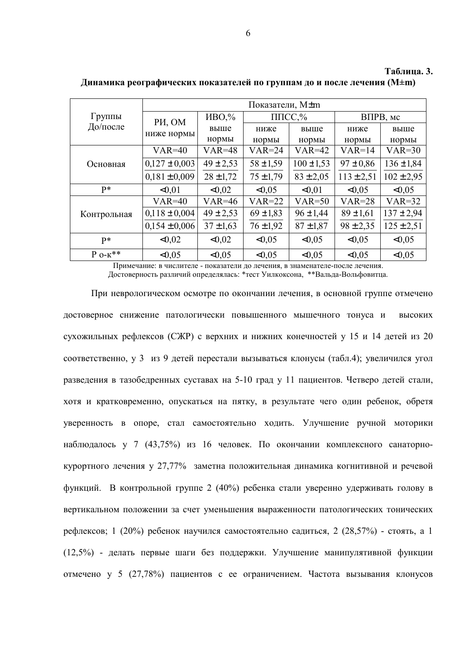|                    | Показатели, M±m      |               |                 |                |                |                |  |
|--------------------|----------------------|---------------|-----------------|----------------|----------------|----------------|--|
| Группы<br>До/после | PH, OM<br>ниже нормы | $HBO$ %       | $\Pi \Pi CC$ ,% |                | ВПРВ, мс       |                |  |
|                    |                      | выше          | ниже            | выше           | ниже           | выше           |  |
|                    |                      | нормы         | нормы           | нормы          | нормы          | нормы          |  |
| Основная           | $VAR = 40$           | $VAR=48$      | $VAR=24$        | $VAR=42$       | $VAR=14$       | $VAR=30$       |  |
|                    | $0,127 \pm 0,003$    | $49 \pm 2,53$ | $58 \pm 1,59$   | $100 \pm 1,53$ | $97 \pm 0.86$  | $136 \pm 1,84$ |  |
|                    | $0.181 \pm 0.009$    | $28 \pm 1,72$ | $75 \pm 1,79$   | $83 \pm 2,05$  | $113 \pm 2,51$ | $102 \pm 2.95$ |  |
| $P*$               | < 0.01               | < 0.02        | < 0.05          | < 0.01         | < 0.05         | < 0.05         |  |
| Контрольная        | $VAR = 40$           | $VAR=46$      | $VAR=22$        | $VAR = 50$     | $VAR=28$       | $VAR=32$       |  |
|                    | $0,118 \pm 0,004$    | $49 \pm 2,53$ | $69 \pm 1,83$   | $96 \pm 1,44$  | $89 \pm 1,61$  | $137 \pm 2,94$ |  |
|                    | $0.154 \pm 0.006$    | $37 \pm 1,63$ | $76 \pm 1,92$   | $87 \pm 1,87$  | $98 \pm 2,35$  | $125 \pm 2,51$ |  |
| $P*$               | < 0.02               | < 0.02        | < 0.05          | < 0.05         | < 0.05         | < 0.05         |  |
| $P_{O-K}$ **       | < 0.05               | <0.05         | < 0.05          | < 0.05         | < 0.05         | < 0.05         |  |

Линамика реографических показателей по группам до и после лечения (M±m)

Примечание: в числителе - показатели до лечения, в знаменателе-после лечения. Достоверность различий определялась: \*тест Уилкоксона, \*\*Вальда-Вольфовитца.

При неврологическом осмотре по окончании лечения, в основной группе отмечено достоверное снижение патологически повышенного мышечного тонуса и высоких сухожильных рефлексов (СЖР) с верхних и нижних конечностей у 15 и 14 детей из 20 соответственно. у 3 из 9 летей перестали вызываться клонусы (табл.4): увеличился угол разведения в тазобедренных суставах на 5-10 град у 11 пациентов. Четверо детей стали, хотя и кратковременно, опускаться на пятку, в результате чего один ребенок, обретя уверенность в опоре, стал самостоятельно ходить. Улучшение ручной моторики наблюдалось у 7 (43,75%) из 16 человек. По окончании комплексного санаторнокурортного лечения у 27,77% заметна положительная динамика когнитивной и речевой функций. В контрольной группе 2 (40%) ребенка стали уверенно удерживать голову в вертикальном положении за счет уменьшения выраженности патологических тонических рефлексов; 1 (20%) ребенок научился самостоятельно садиться, 2 (28,57%) - стоять, а 1 (12.5%) - делать первые шаги без поддержки. Улучшение манипулятивной функции отмечено у 5 (27,78%) пациентов с ее ограничением. Частота вызывания клонусов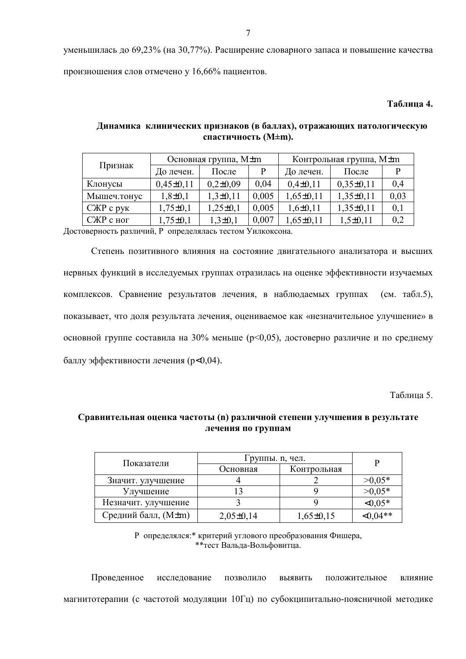уменьшилась до 69,23% (на 30,77%). Расширение словарного запаса и повышение качества произношения слов отмечено у 16,66% пациентов.

# Таблица 4.

| Признак     | Основная группа, M±m |              |       | Контрольная группа, M±m |               |      |
|-------------|----------------------|--------------|-------|-------------------------|---------------|------|
|             | До лечен.            | После        | P     | До лечен.               | После         |      |
| Клонусы     | $0,45\pm0,11$        | $0,2\pm0,09$ | 0,04  | $0,4\pm0,11$            | $0,35\pm0,11$ | 0,4  |
| Мышеч.тонус | $1,8+0,1$            | $1,3+0,11$   | 0,005 | $1,65\pm0,11$           | $1,35\pm0,11$ | 0,03 |
| СЖР с рук   | $1,75\pm0,1$         | $1,25\pm0,1$ | 0,005 | $1,6\pm0,11$            | $1,35\pm0,11$ | 0,1  |
| СЖР с ног   | $1,75\pm0,1$         | $1,3+0,1$    | 0,007 | $1,65\pm0,11$           | $1,5+0,11$    | 0,2  |

# Динамика клинических признаков (в баллах), отражающих патологическую спастичность (M±m).

Достоверность различий, Р определялась тестом Уилкоксона.

Степень позитивного влияния на состояние двигательного анализатора и высших нервных функций в исследуемых группах отразилась на оценке эффективности изучаемых комплексов. Сравнение результатов лечения, в наблюдаемых группах (см. табл.5), показывает, что доля результата лечения, оцениваемое как «незначительное улучшение» в основной группе составила на 30% меньше (р<0,05), достоверно различие и по среднему баллу эффективности лечения (р<0,04).

Таблина 5.

# Сравнительная оценка частоты (n) различной степени улучшения в результате лечения по группам

|                     | Группы. n, чел. |               |          |
|---------------------|-----------------|---------------|----------|
| Показатели          | Основная        | Контрольная   |          |
| Значит. улучшение   |                 |               | $>0.05*$ |
| Улучшение           |                 |               | $>0.05*$ |
| Незначит. улучшение |                 |               | $<0.05*$ |
| Средний балл, (M±m) | $2,05\pm0,14$   | $1,65\pm0,15$ | $0.04**$ |

Р определялся: \* критерий углового преобразования Фишера.  $*$  $*$ тест Вальла-Вольфовитна

Проведенное исследование позволило ВЫЯВИТЬ положительное влияние магнитотерапии (с частотой модуляции 10Гц) по субокципитально-поясничной методике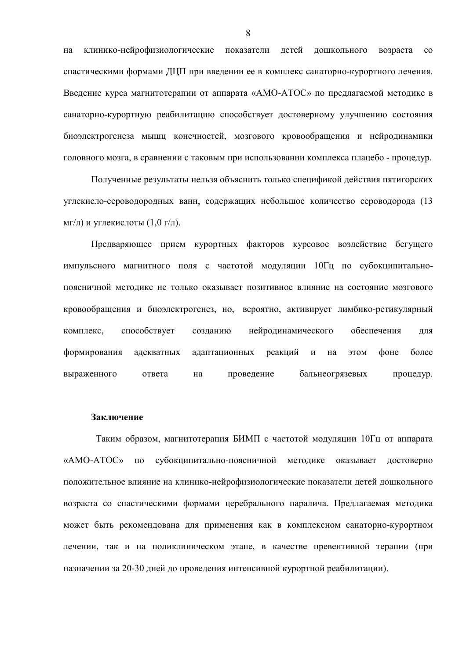клинико-нейрофизиологические показатели детей дошкольного возраста на  $\rm{co}$ спастическими формами ДЦП при введении ее в комплекс санаторно-курортного лечения. Введение курса магнитотерапии от аппарата «АМО-АТОС» по предлагаемой методике в санаторно-курортную реабилитацию способствует достоверному улучшению состояния биоэлектрогенеза мышц конечностей, мозгового кровообращения и нейродинамики головного мозга, в сравнении с таковым при использовании комплекса плацебо - процедур.

Полученные результаты нельзя объяснить только спецификой действия пятигорских углекисло-сероводородных ванн, содержащих небольшое количество сероводорода (13 мг/л) и углекислоты  $(1,0 \text{ r/n})$ .

Предваряющее прием курортных факторов курсовое воздействие бегущего импульсного магнитного поля с частотой модуляции 10Гц по субокципитальнопоясничной метолике не только оказывает позитивное влияние на состояние мозгового кровообращения и биоэлектрогенез, но, вероятно, активирует лимбико-ретикулярный комплекс. способствует созланию нейродинамического обеспечения лля формирования адекватных адаптационных реакций  $\mathbf{M}$ **MOTE** фоне более на выраженного ответа проведение бальнеогрязевых процедур. на

### Заключение

Таким образом, магнитотерапия БИМП с частотой модуляции 10Гц от аппарата субокципитально-поясничной метолике «АМО-АТОС» по оказывает достоверно положительное влияние на клинико-нейрофизиологические показатели детей дошкольного возраста со спастическими формами церебрального паралича. Предлагаемая методика может быть рекомендована для применения как в комплексном санаторно-курортном лечении, так и на поликлиническом этапе, в качестве превентивной терапии (при назначении за 20-30 дней до проведения интенсивной курортной реабилитации).

8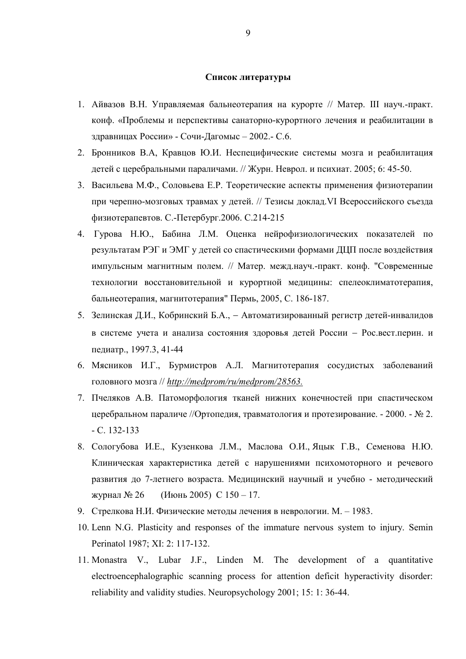### Список литературы

- 1. Айвазов В.Н. Управляемая бальнеотерапия на курорте // Матер. III науч.-практ. конф. «Проблемы и перспективы санаторно-курортного лечения и реабилитации в здравницах России» - Сочи-Дагомыс - 2002.- С.6.
- 2. Бронников В.А, Кравцов Ю.И. Неспецифические системы мозга и реабилитация детей с церебральными параличами. // Журн. Неврол. и психиат. 2005; 6: 45-50.
- 3. Васильева М.Ф., Соловьева Е.Р. Теоретические аспекты применения физиотерапии при черепно-мозговых травмах у детей. // Тезисы доклад. VI Всероссийского съезда физиотерапевтов. С.-Петербург. 2006. С. 214-215
- 4. Гурова Н.Ю., Бабина Л.М. Оценка нейрофизиологических показателей по результатам РЭГ и ЭМГ у детей со спастическими формами ДЦП после воздействия импульсным магнитным полем. // Матер. межд.науч.-практ. конф. "Современные технологии восстановительной и курортной медицины: спелеоклиматотерапия, бальнеотерапия, магнитотерапия" Пермь, 2005, С. 186-187.
- 5. Зелинская Д.И., Кобринский Б.А., Автоматизированный регистр детей-инвалидов в системе учета и анализа состояния здоровья детей России - Рос. вест. перин. и педиатр., 1997.3, 41-44
- 6. Мясников И.Г., Бурмистров А.Л. Магнитотерапия сосудистых заболеваний головного мозга // http://medprom/ru/medprom/28563.
- 7. Пчеляков А.В. Патоморфология тканей нижних конечностей при спастическом церебральном параличе //Ортопедия, травматология и протезирование. - 2000. - № 2.  $-C. 132-133$
- 8. Сологубова И.Е., Кузенкова Л.М., Маслова О.И., Яцык Г.В., Семенова Н.Ю. Клиническая характеристика детей с нарушениями психомоторного и речевого развития до 7-летнего возраста. Медицинский научный и учебно - методический журнал № 26 (Июнь 2005) С  $150 - 17$ .
- 9. Стрелкова Н.И. Физические метолы лечения в неврологии. М. 1983.
- 10. Lenn N.G. Plasticity and responses of the immature nervous system to injury. Semin Perinatol 1987; XI: 2: 117-132.
- 11. Monastra V., Lubar J.F., Linden M. The development of a quantitative electroencephalographic scanning process for attention deficit hyperactivity disorder: reliability and validity studies. Neuropsychology 2001; 15: 1: 36-44.